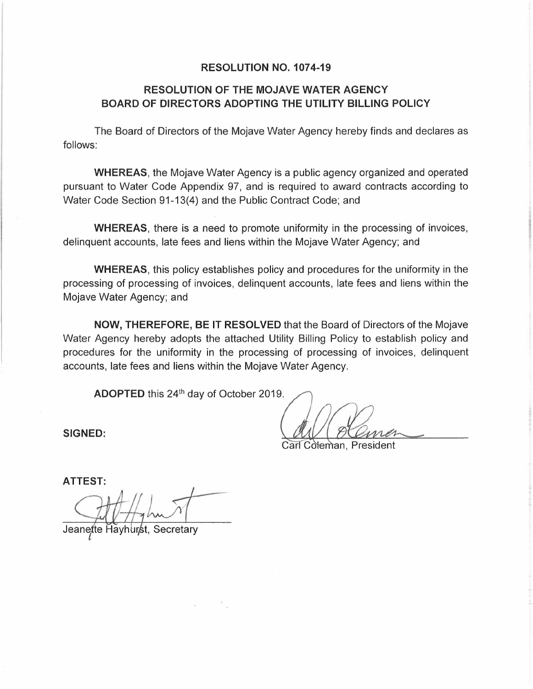#### **RESOLUTION NO. 107 4-19**

#### **RESOLUTION OF THE MOJAVE WATER AGENCY BOARD OF DIRECTORS ADOPTING THE UTILITY BILLING POLICY**

The Board of Directors of the Mojave Water Agency hereby finds and declares as follows:

**WHEREAS,** the Mojave Water Agency is a public agency organized and operated pursuant to Water Code Appendix 97, and is required to award contracts according to Water Code Section 91-13(4) and the Public Contract Code; and

**WHEREAS,** there is a need to promote uniformity in the processing of invoices, delinquent accounts, late fees and liens within the Mojave Water Agency; and

**WHEREAS,** this policy establishes policy and procedures for the uniformity in the processing of processing of invoices, delinquent accounts, late fees and liens within the Mojave Water Agency; and

**NOW, THEREFORE, BE IT RESOLVED** that the Board of Directors of the Mojave Water Agency hereby adopts the attached Utility Billing Policy to establish policy and procedures for the uniformity in the processing of processing of invoices, delinquent accounts, late fees and liens within the Mojave Water Agency.

**ADOPTED** this 24 th day of October 2019.

Carl Coleman, President

**SIGNED:** 

**ATTEST:** 

Secretary Jeanette Havhurst.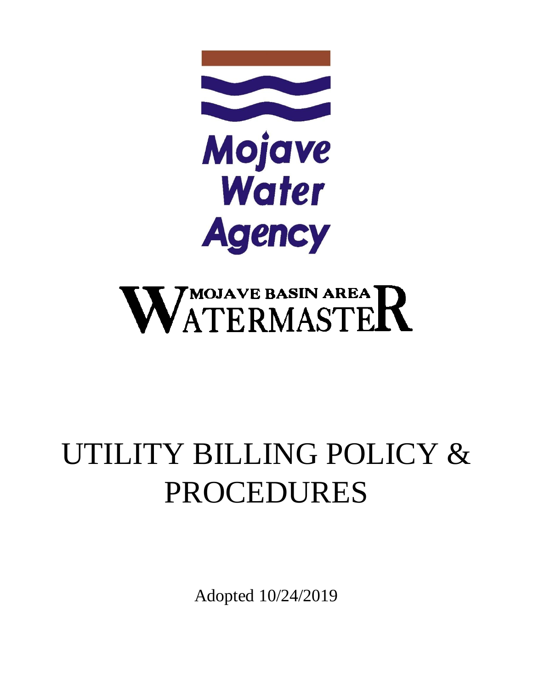

# WATERMASTER

## UTILITY BILLING POLICY & PROCEDURES

Adopted 10/24/2019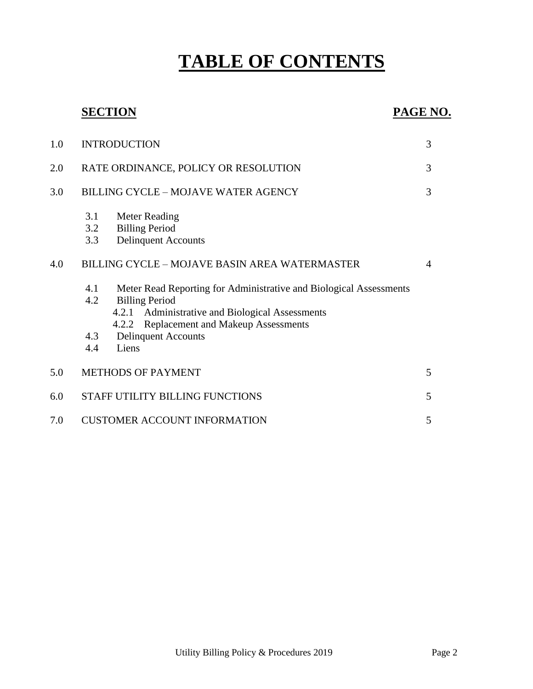### **TABLE OF CONTENTS**

#### **SECTION PAGE NO.**

| 1.0 | <b>INTRODUCTION</b>                                                                                                                                                                                                                                                                                                                                                                                                      | 3              |
|-----|--------------------------------------------------------------------------------------------------------------------------------------------------------------------------------------------------------------------------------------------------------------------------------------------------------------------------------------------------------------------------------------------------------------------------|----------------|
| 2.0 | RATE ORDINANCE, POLICY OR RESOLUTION                                                                                                                                                                                                                                                                                                                                                                                     | 3              |
| 3.0 | <b>BILLING CYCLE - MOJAVE WATER AGENCY</b>                                                                                                                                                                                                                                                                                                                                                                               | 3              |
| 4.0 | 3.1<br>Meter Reading<br><b>Billing Period</b><br>3.2<br><b>Delinquent Accounts</b><br>3.3<br>BILLING CYCLE - MOJAVE BASIN AREA WATERMASTER<br>Meter Read Reporting for Administrative and Biological Assessments<br>4.1<br>4.2<br><b>Billing Period</b><br>Administrative and Biological Assessments<br>4.2.1<br><b>Replacement and Makeup Assessments</b><br>4.2.2<br>4.3<br><b>Delinquent Accounts</b><br>Liens<br>4.4 | $\overline{4}$ |
| 5.0 | <b>METHODS OF PAYMENT</b>                                                                                                                                                                                                                                                                                                                                                                                                | 5              |
| 6.0 | STAFF UTILITY BILLING FUNCTIONS                                                                                                                                                                                                                                                                                                                                                                                          | 5              |
| 7.0 | <b>CUSTOMER ACCOUNT INFORMATION</b>                                                                                                                                                                                                                                                                                                                                                                                      | 5              |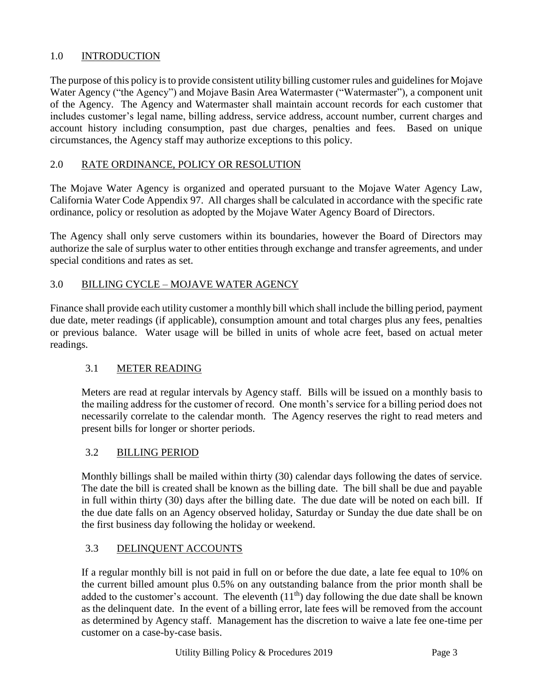#### 1.0 INTRODUCTION

The purpose of this policy is to provide consistent utility billing customer rules and guidelines for Mojave Water Agency ("the Agency") and Mojave Basin Area Watermaster ("Watermaster"), a component unit of the Agency. The Agency and Watermaster shall maintain account records for each customer that includes customer's legal name, billing address, service address, account number, current charges and account history including consumption, past due charges, penalties and fees. Based on unique circumstances, the Agency staff may authorize exceptions to this policy.

#### 2.0 RATE ORDINANCE, POLICY OR RESOLUTION

The Mojave Water Agency is organized and operated pursuant to the Mojave Water Agency Law, California Water Code Appendix 97. All charges shall be calculated in accordance with the specific rate ordinance, policy or resolution as adopted by the Mojave Water Agency Board of Directors.

The Agency shall only serve customers within its boundaries, however the Board of Directors may authorize the sale of surplus water to other entities through exchange and transfer agreements, and under special conditions and rates as set.

#### 3.0 BILLING CYCLE – MOJAVE WATER AGENCY

Finance shall provide each utility customer a monthly bill which shall include the billing period, payment due date, meter readings (if applicable), consumption amount and total charges plus any fees, penalties or previous balance. Water usage will be billed in units of whole acre feet, based on actual meter readings.

#### 3.1 METER READING

Meters are read at regular intervals by Agency staff. Bills will be issued on a monthly basis to the mailing address for the customer of record. One month's service for a billing period does not necessarily correlate to the calendar month. The Agency reserves the right to read meters and present bills for longer or shorter periods.

#### 3.2 BILLING PERIOD

Monthly billings shall be mailed within thirty (30) calendar days following the dates of service. The date the bill is created shall be known as the billing date. The bill shall be due and payable in full within thirty (30) days after the billing date. The due date will be noted on each bill. If the due date falls on an Agency observed holiday, Saturday or Sunday the due date shall be on the first business day following the holiday or weekend.

#### 3.3 DELINQUENT ACCOUNTS

If a regular monthly bill is not paid in full on or before the due date, a late fee equal to 10% on the current billed amount plus 0.5% on any outstanding balance from the prior month shall be added to the customer's account. The eleventh  $(11<sup>th</sup>)$  day following the due date shall be known as the delinquent date. In the event of a billing error, late fees will be removed from the account as determined by Agency staff. Management has the discretion to waive a late fee one-time per customer on a case-by-case basis.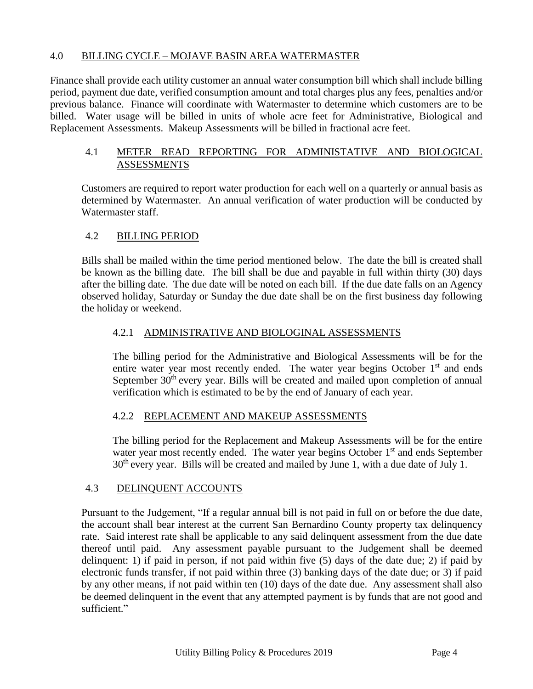#### 4.0 BILLING CYCLE – MOJAVE BASIN AREA WATERMASTER

Finance shall provide each utility customer an annual water consumption bill which shall include billing period, payment due date, verified consumption amount and total charges plus any fees, penalties and/or previous balance. Finance will coordinate with Watermaster to determine which customers are to be billed. Water usage will be billed in units of whole acre feet for Administrative, Biological and Replacement Assessments. Makeup Assessments will be billed in fractional acre feet.

#### 4.1 METER READ REPORTING FOR ADMINISTATIVE AND BIOLOGICAL ASSESSMENTS

Customers are required to report water production for each well on a quarterly or annual basis as determined by Watermaster. An annual verification of water production will be conducted by Watermaster staff.

#### 4.2 BILLING PERIOD

Bills shall be mailed within the time period mentioned below. The date the bill is created shall be known as the billing date. The bill shall be due and payable in full within thirty (30) days after the billing date. The due date will be noted on each bill. If the due date falls on an Agency observed holiday, Saturday or Sunday the due date shall be on the first business day following the holiday or weekend.

#### 4.2.1 ADMINISTRATIVE AND BIOLOGINAL ASSESSMENTS

The billing period for the Administrative and Biological Assessments will be for the entire water year most recently ended. The water year begins October  $1<sup>st</sup>$  and ends September 30<sup>th</sup> every year. Bills will be created and mailed upon completion of annual verification which is estimated to be by the end of January of each year.

#### 4.2.2 REPLACEMENT AND MAKEUP ASSESSMENTS

The billing period for the Replacement and Makeup Assessments will be for the entire water year most recently ended. The water year begins October 1<sup>st</sup> and ends September 30th every year. Bills will be created and mailed by June 1, with a due date of July 1.

#### 4.3 DELINQUENT ACCOUNTS

Pursuant to the Judgement, "If a regular annual bill is not paid in full on or before the due date, the account shall bear interest at the current San Bernardino County property tax delinquency rate. Said interest rate shall be applicable to any said delinquent assessment from the due date thereof until paid. Any assessment payable pursuant to the Judgement shall be deemed delinquent: 1) if paid in person, if not paid within five (5) days of the date due; 2) if paid by electronic funds transfer, if not paid within three (3) banking days of the date due; or 3) if paid by any other means, if not paid within ten (10) days of the date due. Any assessment shall also be deemed delinquent in the event that any attempted payment is by funds that are not good and sufficient."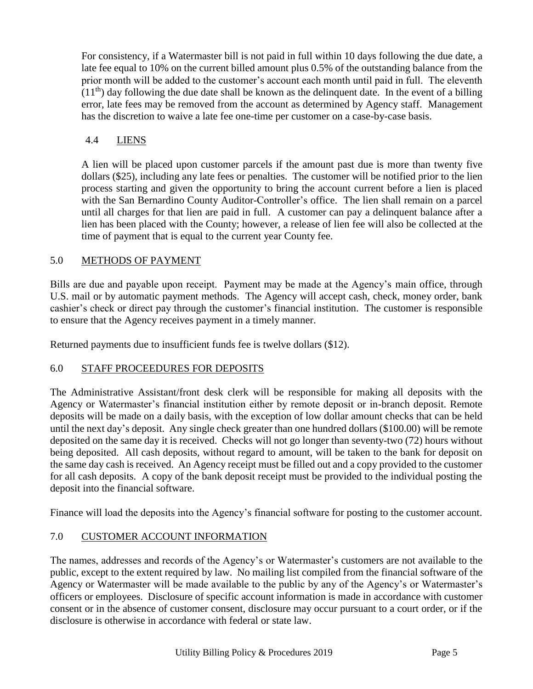For consistency, if a Watermaster bill is not paid in full within 10 days following the due date, a late fee equal to 10% on the current billed amount plus 0.5% of the outstanding balance from the prior month will be added to the customer's account each month until paid in full. The eleventh  $(11<sup>th</sup>)$  day following the due date shall be known as the delinquent date. In the event of a billing error, late fees may be removed from the account as determined by Agency staff. Management has the discretion to waive a late fee one-time per customer on a case-by-case basis.

#### 4.4 LIENS

A lien will be placed upon customer parcels if the amount past due is more than twenty five dollars (\$25), including any late fees or penalties. The customer will be notified prior to the lien process starting and given the opportunity to bring the account current before a lien is placed with the San Bernardino County Auditor-Controller's office. The lien shall remain on a parcel until all charges for that lien are paid in full. A customer can pay a delinquent balance after a lien has been placed with the County; however, a release of lien fee will also be collected at the time of payment that is equal to the current year County fee.

#### 5.0 METHODS OF PAYMENT

Bills are due and payable upon receipt. Payment may be made at the Agency's main office, through U.S. mail or by automatic payment methods. The Agency will accept cash, check, money order, bank cashier's check or direct pay through the customer's financial institution. The customer is responsible to ensure that the Agency receives payment in a timely manner.

Returned payments due to insufficient funds fee is twelve dollars (\$12).

#### 6.0 STAFF PROCEEDURES FOR DEPOSITS

The Administrative Assistant/front desk clerk will be responsible for making all deposits with the Agency or Watermaster's financial institution either by remote deposit or in-branch deposit. Remote deposits will be made on a daily basis, with the exception of low dollar amount checks that can be held until the next day's deposit. Any single check greater than one hundred dollars (\$100.00) will be remote deposited on the same day it is received. Checks will not go longer than seventy-two (72) hours without being deposited. All cash deposits, without regard to amount, will be taken to the bank for deposit on the same day cash is received. An Agency receipt must be filled out and a copy provided to the customer for all cash deposits. A copy of the bank deposit receipt must be provided to the individual posting the deposit into the financial software.

Finance will load the deposits into the Agency's financial software for posting to the customer account.

#### 7.0 CUSTOMER ACCOUNT INFORMATION

The names, addresses and records of the Agency's or Watermaster's customers are not available to the public, except to the extent required by law. No mailing list compiled from the financial software of the Agency or Watermaster will be made available to the public by any of the Agency's or Watermaster's officers or employees. Disclosure of specific account information is made in accordance with customer consent or in the absence of customer consent, disclosure may occur pursuant to a court order, or if the disclosure is otherwise in accordance with federal or state law.